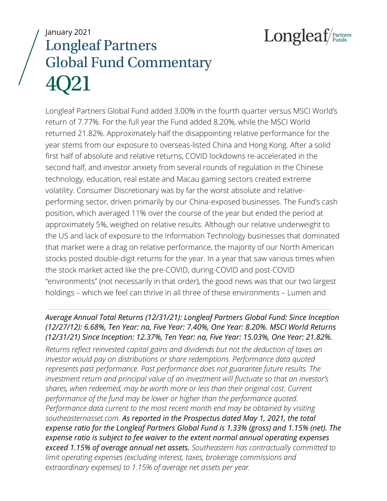Longleaf/Partners

# January 2021 Longleaf Partners Global Fund Commentary 4Q21

Longleaf Partners Global Fund added 3.00% in the fourth quarter versus MSCI World's return of 7.77%. For the full year the Fund added 8.20%, while the MSCI World returned 21.82%. Approximately half the disappointing relative performance for the year stems from our exposure to overseas-listed China and Hong Kong. After a solid first half of absolute and relative returns, COVID lockdowns re-accelerated in the second half, and investor anxiety from several rounds of regulation in the Chinese technology, education, real estate and Macau gaming sectors created extreme volatility. Consumer Discretionary was by far the worst absolute and relativeperforming sector, driven primarily by our China-exposed businesses. The Fund's cash position, which averaged 11% over the course of the year but ended the period at approximately 5%, weighed on relative results. Although our relative underweight to the US and lack of exposure to the Information Technology businesses that dominated that market were a drag on relative performance, the majority of our North American stocks posted double-digit returns for the year. In a year that saw various times when the stock market acted like the pre-COVID, during-COVID and post-COVID "environments" (not necessarily in that order), the good news was that our two largest holdings – which we feel can thrive in all three of these environments – Lumen and

# *Average Annual Total Returns (12/31/21): Longleaf Partners Global Fund: Since Inception (12/27/12): 6.68%, Ten Year: na, Five Year: 7.40%, One Year: 8.20%. MSCI World Returns (12/31/21) Since Inception: 12.37%, Ten Year: na, Five Year: 15.03%, One Year: 21.82%.*

*Returns reflect reinvested capital gains and dividends but not the deduction of taxes an investor would pay on distributions or share redemptions. Performance data quoted represents past performance. Past performance does not guarantee future results. The investment return and principal value of an investment will fluctuate so that an investor's shares, when redeemed, may be worth more or less than their original cost. Current performance of the fund may be lower or higher than the performance quoted. Performance data current to the most recent month end may be obtained by visiting southeasternasset.com. As reported in the Prospectus dated May 1, 2021, the total expense ratio for the Longleaf Partners Global Fund is 1.33% (gross) and 1.15% (net). The expense ratio is subject to fee waiver to the extent normal annual operating expenses exceed 1.15% of average annual net assets. Southeastern has contractually committed to limit operating expenses (excluding interest, taxes, brokerage commissions and extraordinary expenses) to 1.15% of average net assets per year.*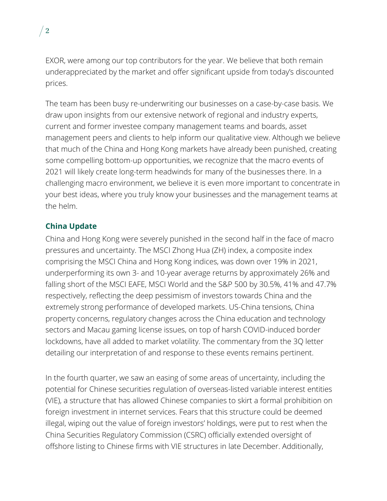EXOR, were among our top contributors for the year. We believe that both remain underappreciated by the market and offer significant upside from today's discounted prices.

The team has been busy re-underwriting our businesses on a case-by-case basis. We draw upon insights from our extensive network of regional and industry experts, current and former investee company management teams and boards, asset management peers and clients to help inform our qualitative view. Although we believe that much of the China and Hong Kong markets have already been punished, creating some compelling bottom-up opportunities, we recognize that the macro events of 2021 will likely create long-term headwinds for many of the businesses there. In a challenging macro environment, we believe it is even more important to concentrate in your best ideas, where you truly know your businesses and the management teams at the helm.

# **China Update**

China and Hong Kong were severely punished in the second half in the face of macro pressures and uncertainty. The MSCI Zhong Hua (ZH) index, a composite index comprising the MSCI China and Hong Kong indices, was down over 19% in 2021, underperforming its own 3- and 10-year average returns by approximately 26% and falling short of the MSCI EAFE, MSCI World and the S&P 500 by 30.5%, 41% and 47.7% respectively, reflecting the deep pessimism of investors towards China and the extremely strong performance of developed markets. US-China tensions, China property concerns, regulatory changes across the China education and technology sectors and Macau gaming license issues, on top of harsh COVID-induced border lockdowns, have all added to market volatility. The commentary from the 3Q letter detailing our interpretation of and response to these events remains pertinent.

In the fourth quarter, we saw an easing of some areas of uncertainty, including the potential for Chinese securities regulation of overseas-listed variable interest entities (VIE), a structure that has allowed Chinese companies to skirt a formal prohibition on foreign investment in internet services. Fears that this structure could be deemed illegal, wiping out the value of foreign investors' holdings, were put to rest when the China Securities Regulatory Commission (CSRC) officially extended oversight of offshore listing to Chinese firms with VIE structures in late December. Additionally,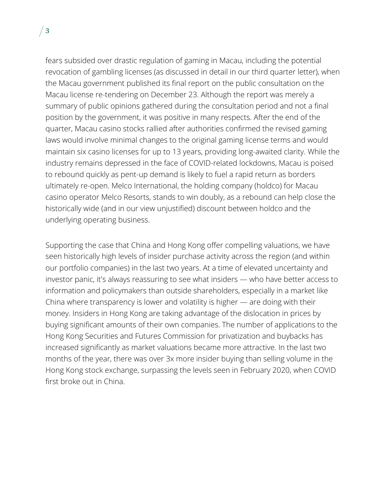fears subsided over drastic regulation of gaming in Macau, including the potential revocation of gambling licenses (as discussed in detail in our third quarter letter), when the Macau government published its final report on the public consultation on the Macau license re-tendering on December 23. Although the report was merely a summary of public opinions gathered during the consultation period and not a final position by the government, it was positive in many respects. After the end of the quarter, Macau casino stocks rallied after authorities confirmed the revised gaming laws would involve minimal changes to the original gaming license terms and would maintain six casino licenses for up to 13 years, providing long-awaited clarity. While the industry remains depressed in the face of COVID-related lockdowns, Macau is poised to rebound quickly as pent-up demand is likely to fuel a rapid return as borders ultimately re-open. Melco International, the holding company (holdco) for Macau casino operator Melco Resorts, stands to win doubly, as a rebound can help close the historically wide (and in our view unjustified) discount between holdco and the underlying operating business.

Supporting the case that China and Hong Kong offer compelling valuations, we have seen historically high levels of insider purchase activity across the region (and within our portfolio companies) in the last two years. At a time of elevated uncertainty and investor panic, it's always reassuring to see what insiders — who have better access to information and policymakers than outside shareholders, especially in a market like China where transparency is lower and volatility is higher — are doing with their money. Insiders in Hong Kong are taking advantage of the dislocation in prices by buying significant amounts of their own companies. The number of applications to the Hong Kong Securities and Futures Commission for privatization and buybacks has increased significantly as market valuations became more attractive. In the last two months of the year, there was over 3x more insider buying than selling volume in the Hong Kong stock exchange, surpassing the levels seen in February 2020, when COVID first broke out in China.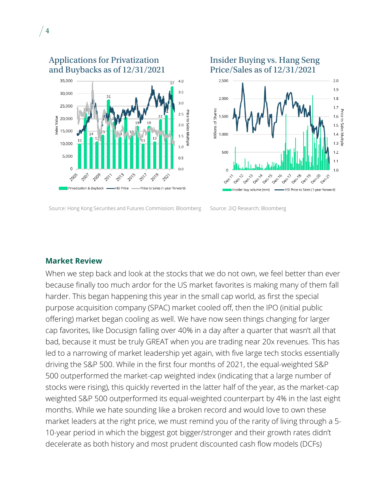

Source: Hong Kong Securities and Futures Commission; Bloomberg Source: 2iQ Research; Bloomberg



### **Market Review**

 $\sqrt{4}$ 

When we step back and look at the stocks that we do not own, we feel better than ever because finally too much ardor for the US market favorites is making many of them fall harder. This began happening this year in the small cap world, as first the special purpose acquisition company (SPAC) market cooled off, then the IPO (initial public offering) market began cooling as well. We have now seen things changing for larger cap favorites, like Docusign falling over 40% in a day after a quarter that wasn't all that bad, because it must be truly GREAT when you are trading near 20x revenues. This has led to a narrowing of market leadership yet again, with five large tech stocks essentially driving the S&P 500. While in the first four months of 2021, the equal-weighted S&P 500 outperformed the market-cap weighted index (indicating that a large number of stocks were rising), this quickly reverted in the latter half of the year, as the market-cap weighted S&P 500 outperformed its equal-weighted counterpart by 4% in the last eight months. While we hate sounding like a broken record and would love to own these market leaders at the right price, we must remind you of the rarity of living through a 5- 10-year period in which the biggest got bigger/stronger and their growth rates didn't decelerate as both history and most prudent discounted cash flow models (DCFs)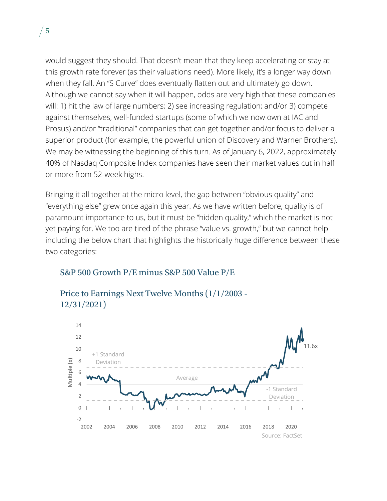would suggest they should. That doesn't mean that they keep accelerating or stay at this growth rate forever (as their valuations need). More likely, it's a longer way down when they fall. An "S Curve" does eventually flatten out and ultimately go down. Although we cannot say when it will happen, odds are very high that these companies will: 1) hit the law of large numbers; 2) see increasing regulation; and/or 3) compete against themselves, well-funded startups (some of which we now own at IAC and Prosus) and/or "traditional" companies that can get together and/or focus to deliver a superior product (for example, the powerful union of Discovery and Warner Brothers). We may be witnessing the beginning of this turn. As of January 6, 2022, approximately 40% of Nasdaq Composite Index companies have seen their market values cut in half or more from 52-week highs.

Bringing it all together at the micro level, the gap between "obvious quality" and "everything else" grew once again this year. As we have written before, quality is of paramount importance to us, but it must be "hidden quality," which the market is not yet paying for. We too are tired of the phrase "value vs. growth," but we cannot help including the below chart that highlights the historically huge difference between these two categories:

# S&P 500 Growth P/E minus S&P 500 Value P/E



Price to Earnings Next Twelve Months (1/1/2003 - 12/31/2021)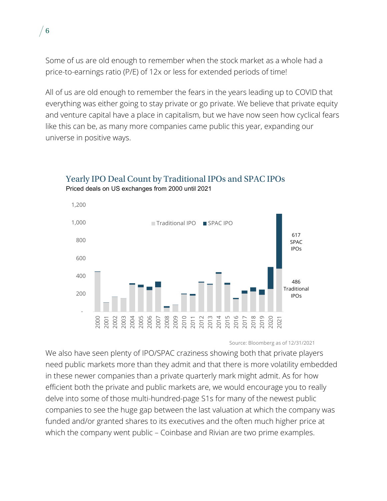Some of us are old enough to remember when the stock market as a whole had a price-to-earnings ratio (P/E) of 12x or less for extended periods of time!

 $/6$ 

All of us are old enough to remember the fears in the years leading up to COVID that everything was either going to stay private or go private. We believe that private equity and venture capital have a place in capitalism, but we have now seen how cyclical fears like this can be, as many more companies came public this year, expanding our universe in positive ways.



# Yearly IPO Deal Count by Traditional IPOs and SPAC IPOs Priced deals on US exchanges from 2000 until 2021

#### Source: Bloomberg as of 12/31/2021

We also have seen plenty of IPO/SPAC craziness showing both that private players need public markets more than they admit and that there is more volatility embedded in these newer companies than a private quarterly mark might admit. As for how efficient both the private and public markets are, we would encourage you to really delve into some of those multi-hundred-page S1s for many of the newest public companies to see the huge gap between the last valuation at which the company was funded and/or granted shares to its executives and the often much higher price at which the company went public – Coinbase and Rivian are two prime examples.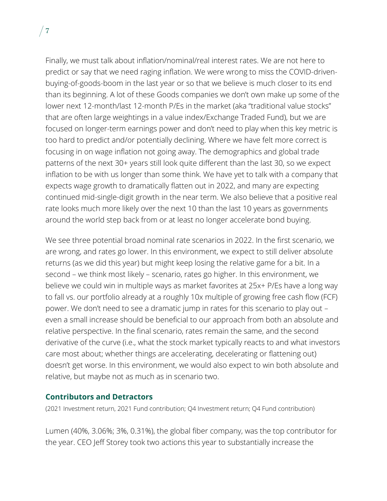Finally, we must talk about inflation/nominal/real interest rates. We are not here to predict or say that we need raging inflation. We were wrong to miss the COVID-drivenbuying-of-goods-boom in the last year or so that we believe is much closer to its end than its beginning. A lot of these Goods companies we don't own make up some of the lower next 12-month/last 12-month P/Es in the market (aka "traditional value stocks" that are often large weightings in a value index/Exchange Traded Fund), but we are focused on longer-term earnings power and don't need to play when this key metric is too hard to predict and/or potentially declining. Where we have felt more correct is focusing in on wage inflation not going away. The demographics and global trade patterns of the next 30+ years still look quite different than the last 30, so we expect inflation to be with us longer than some think. We have yet to talk with a company that expects wage growth to dramatically flatten out in 2022, and many are expecting continued mid-single-digit growth in the near term. We also believe that a positive real rate looks much more likely over the next 10 than the last 10 years as governments around the world step back from or at least no longer accelerate bond buying.

We see three potential broad nominal rate scenarios in 2022. In the first scenario, we are wrong, and rates go lower. In this environment, we expect to still deliver absolute returns (as we did this year) but might keep losing the relative game for a bit. In a second – we think most likely – scenario, rates go higher. In this environment, we believe we could win in multiple ways as market favorites at 25x+ P/Es have a long way to fall vs. our portfolio already at a roughly 10x multiple of growing free cash flow (FCF) power. We don't need to see a dramatic jump in rates for this scenario to play out – even a small increase should be beneficial to our approach from both an absolute and relative perspective. In the final scenario, rates remain the same, and the second derivative of the curve (i.e., what the stock market typically reacts to and what investors care most about; whether things are accelerating, decelerating or flattening out) doesn't get worse. In this environment, we would also expect to win both absolute and relative, but maybe not as much as in scenario two.

### **Contributors and Detractors**

(2021 Investment return, 2021 Fund contribution; Q4 Investment return; Q4 Fund contribution)

Lumen (40%, 3.06%; 3%, 0.31%), the global fiber company, was the top contributor for the year. CEO Jeff Storey took two actions this year to substantially increase the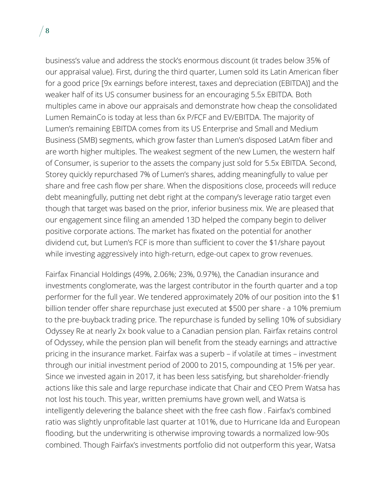business's value and address the stock's enormous discount (it trades below 35% of our appraisal value). First, during the third quarter, Lumen sold its Latin American fiber for a good price [9x earnings before interest, taxes and depreciation (EBITDA)] and the weaker half of its US consumer business for an encouraging 5.5x EBITDA. Both multiples came in above our appraisals and demonstrate how cheap the consolidated Lumen RemainCo is today at less than 6x P/FCF and EV/EBITDA. The majority of Lumen's remaining EBITDA comes from its US Enterprise and Small and Medium Business (SMB) segments, which grow faster than Lumen's disposed LatAm fiber and are worth higher multiples. The weakest segment of the new Lumen, the western half of Consumer, is superior to the assets the company just sold for 5.5x EBITDA. Second, Storey quickly repurchased 7% of Lumen's shares, adding meaningfully to value per share and free cash flow per share. When the dispositions close, proceeds will reduce debt meaningfully, putting net debt right at the company's leverage ratio target even though that target was based on the prior, inferior business mix. We are pleased that our engagement since filing an amended 13D helped the company begin to deliver positive corporate actions. The market has fixated on the potential for another dividend cut, but Lumen's FCF is more than sufficient to cover the \$1/share payout while investing aggressively into high-return, edge-out capex to grow revenues.

Fairfax Financial Holdings (49%, 2.06%; 23%, 0.97%), the Canadian insurance and investments conglomerate, was the largest contributor in the fourth quarter and a top performer for the full year. We tendered approximately 20% of our position into the \$1 billion tender offer share repurchase just executed at \$500 per share - a 10% premium to the pre-buyback trading price. The repurchase is funded by selling 10% of subsidiary Odyssey Re at nearly 2x book value to a Canadian pension plan. Fairfax retains control of Odyssey, while the pension plan will benefit from the steady earnings and attractive pricing in the insurance market. Fairfax was a superb – if volatile at times – investment through our initial investment period of 2000 to 2015, compounding at 15% per year. Since we invested again in 2017, it has been less satisfying, but shareholder-friendly actions like this sale and large repurchase indicate that Chair and CEO Prem Watsa has not lost his touch. This year, written premiums have grown well, and Watsa is intelligently delevering the balance sheet with the free cash flow . Fairfax's combined ratio was slightly unprofitable last quarter at 101%, due to Hurricane Ida and European flooding, but the underwriting is otherwise improving towards a normalized low-90s combined. Though Fairfax's investments portfolio did not outperform this year, Watsa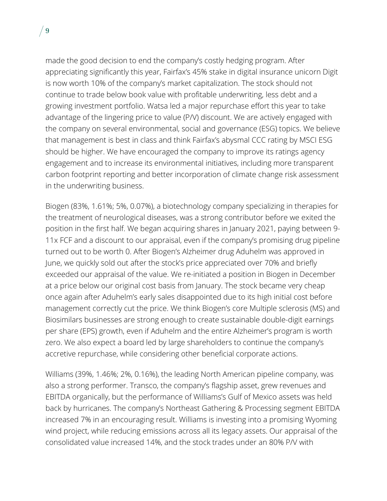made the good decision to end the company's costly hedging program. After appreciating significantly this year, Fairfax's 45% stake in digital insurance unicorn Digit is now worth 10% of the company's market capitalization. The stock should not continue to trade below book value with profitable underwriting, less debt and a growing investment portfolio. Watsa led a major repurchase effort this year to take advantage of the lingering price to value (P/V) discount. We are actively engaged with the company on several environmental, social and governance (ESG) topics. We believe that management is best in class and think Fairfax's abysmal CCC rating by MSCI ESG should be higher. We have encouraged the company to improve its ratings agency engagement and to increase its environmental initiatives, including more transparent carbon footprint reporting and better incorporation of climate change risk assessment in the underwriting business.

Biogen (83%, 1.61%; 5%, 0.07%), a biotechnology company specializing in therapies for the treatment of neurological diseases, was a strong contributor before we exited the position in the first half. We began acquiring shares in January 2021, paying between 9- 11x FCF and a discount to our appraisal, even if the company's promising drug pipeline turned out to be worth 0. After Biogen's Alzheimer drug Aduhelm was approved in June, we quickly sold out after the stock's price appreciated over 70% and briefly exceeded our appraisal of the value. We re-initiated a position in Biogen in December at a price below our original cost basis from January. The stock became very cheap once again after Aduhelm's early sales disappointed due to its high initial cost before management correctly cut the price. We think Biogen's core Multiple sclerosis (MS) and Biosimilars businesses are strong enough to create sustainable double-digit earnings per share (EPS) growth, even if Aduhelm and the entire Alzheimer's program is worth zero. We also expect a board led by large shareholders to continue the company's accretive repurchase, while considering other beneficial corporate actions.

Williams (39%, 1.46%; 2%, 0.16%), the leading North American pipeline company, was also a strong performer. Transco, the company's flagship asset, grew revenues and EBITDA organically, but the performance of Williams's Gulf of Mexico assets was held back by hurricanes. The company's Northeast Gathering & Processing segment EBITDA increased 7% in an encouraging result. Williams is investing into a promising Wyoming wind project, while reducing emissions across all its legacy assets. Our appraisal of the consolidated value increased 14%, and the stock trades under an 80% P/V with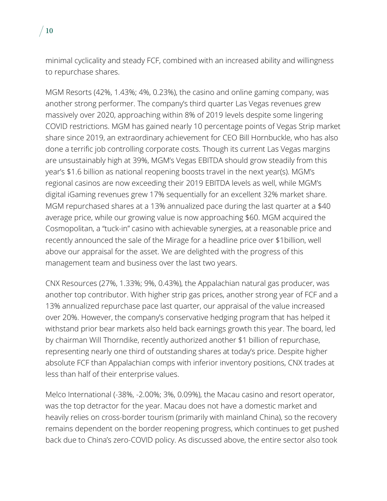minimal cyclicality and steady FCF, combined with an increased ability and willingness to repurchase shares.

MGM Resorts (42%, 1.43%; 4%, 0.23%), the casino and online gaming company, was another strong performer. The company's third quarter Las Vegas revenues grew massively over 2020, approaching within 8% of 2019 levels despite some lingering COVID restrictions. MGM has gained nearly 10 percentage points of Vegas Strip market share since 2019, an extraordinary achievement for CEO Bill Hornbuckle, who has also done a terrific job controlling corporate costs. Though its current Las Vegas margins are unsustainably high at 39%, MGM's Vegas EBITDA should grow steadily from this year's \$1.6 billion as national reopening boosts travel in the next year(s). MGM's regional casinos are now exceeding their 2019 EBITDA levels as well, while MGM's digital iGaming revenues grew 17% sequentially for an excellent 32% market share. MGM repurchased shares at a 13% annualized pace during the last quarter at a \$40 average price, while our growing value is now approaching \$60. MGM acquired the Cosmopolitan, a "tuck-in" casino with achievable synergies, at a reasonable price and recently announced the sale of the Mirage for a headline price over \$1billion, well above our appraisal for the asset. We are delighted with the progress of this management team and business over the last two years.

CNX Resources (27%, 1.33%; 9%, 0.43%), the Appalachian natural gas producer, was another top contributor. With higher strip gas prices, another strong year of FCF and a 13% annualized repurchase pace last quarter, our appraisal of the value increased over 20%. However, the company's conservative hedging program that has helped it withstand prior bear markets also held back earnings growth this year. The board, led by chairman Will Thorndike, recently authorized another \$1 billion of repurchase, representing nearly one third of outstanding shares at today's price. Despite higher absolute FCF than Appalachian comps with inferior inventory positions, CNX trades at less than half of their enterprise values.

Melco International (-38%, -2.00%; 3%, 0.09%), the Macau casino and resort operator, was the top detractor for the year. Macau does not have a domestic market and heavily relies on cross-border tourism (primarily with mainland China), so the recovery remains dependent on the border reopening progress, which continues to get pushed back due to China's zero-COVID policy. As discussed above, the entire sector also took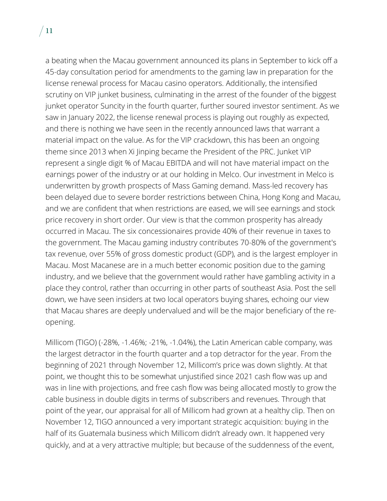a beating when the Macau government announced its plans in September to kick off a 45-day consultation period for amendments to the gaming law in preparation for the license renewal process for Macau casino operators. Additionally, the intensified scrutiny on VIP junket business, culminating in the arrest of the founder of the biggest junket operator Suncity in the fourth quarter, further soured investor sentiment. As we saw in January 2022, the license renewal process is playing out roughly as expected, and there is nothing we have seen in the recently announced laws that warrant a material impact on the value. As for the VIP crackdown, this has been an ongoing theme since 2013 when Xi Jinping became the President of the PRC. Junket VIP represent a single digit % of Macau EBITDA and will not have material impact on the earnings power of the industry or at our holding in Melco. Our investment in Melco is underwritten by growth prospects of Mass Gaming demand. Mass-led recovery has been delayed due to severe border restrictions between China, Hong Kong and Macau, and we are confident that when restrictions are eased, we will see earnings and stock price recovery in short order. Our view is that the common prosperity has already occurred in Macau. The six concessionaires provide 40% of their revenue in taxes to the government. The Macau gaming industry contributes 70-80% of the government's tax revenue, over 55% of gross domestic product (GDP), and is the largest employer in Macau. Most Macanese are in a much better economic position due to the gaming industry, and we believe that the government would rather have gambling activity in a place they control, rather than occurring in other parts of southeast Asia. Post the sell down, we have seen insiders at two local operators buying shares, echoing our view that Macau shares are deeply undervalued and will be the major beneficiary of the reopening.

Millicom (TIGO) (-28%, -1.46%; -21%, -1.04%), the Latin American cable company, was the largest detractor in the fourth quarter and a top detractor for the year. From the beginning of 2021 through November 12, Millicom's price was down slightly. At that point, we thought this to be somewhat unjustified since 2021 cash flow was up and was in line with projections, and free cash flow was being allocated mostly to grow the cable business in double digits in terms of subscribers and revenues. Through that point of the year, our appraisal for all of Millicom had grown at a healthy clip. Then on November 12, TIGO announced a very important strategic acquisition: buying in the half of its Guatemala business which Millicom didn't already own. It happened very quickly, and at a very attractive multiple; but because of the suddenness of the event,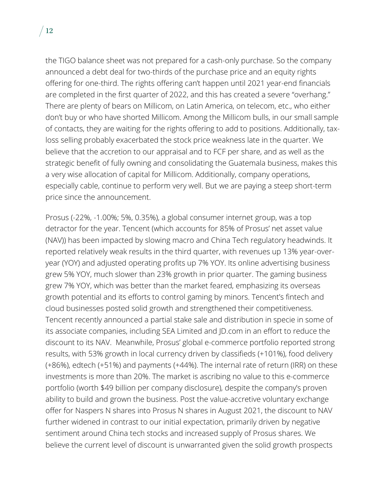the TIGO balance sheet was not prepared for a cash-only purchase. So the company announced a debt deal for two-thirds of the purchase price and an equity rights offering for one-third. The rights offering can't happen until 2021 year-end financials are completed in the first quarter of 2022, and this has created a severe "overhang." There are plenty of bears on Millicom, on Latin America, on telecom, etc., who either don't buy or who have shorted Millicom. Among the Millicom bulls, in our small sample of contacts, they are waiting for the rights offering to add to positions. Additionally, taxloss selling probably exacerbated the stock price weakness late in the quarter. We believe that the accretion to our appraisal and to FCF per share, and as well as the strategic benefit of fully owning and consolidating the Guatemala business, makes this a very wise allocation of capital for Millicom. Additionally, company operations, especially cable, continue to perform very well. But we are paying a steep short-term price since the announcement.

Prosus (-22%, -1.00%; 5%, 0.35%), a global consumer internet group, was a top detractor for the year. Tencent (which accounts for 85% of Prosus' net asset value (NAV)) has been impacted by slowing macro and China Tech regulatory headwinds. It reported relatively weak results in the third quarter, with revenues up 13% year-overyear (YOY) and adjusted operating profits up 7% YOY. Its online advertising business grew 5% YOY, much slower than 23% growth in prior quarter. The gaming business grew 7% YOY, which was better than the market feared, emphasizing its overseas growth potential and its efforts to control gaming by minors. Tencent's fintech and cloud businesses posted solid growth and strengthened their competitiveness. Tencent recently announced a partial stake sale and distribution in specie in some of its associate companies, including SEA Limited and JD.com in an effort to reduce the discount to its NAV. Meanwhile, Prosus' global e-commerce portfolio reported strong results, with 53% growth in local currency driven by classifieds (+101%), food delivery (+86%), edtech (+51%) and payments (+44%). The internal rate of return (IRR) on these investments is more than 20%. The market is ascribing no value to this e-commerce portfolio (worth \$49 billion per company disclosure), despite the company's proven ability to build and grown the business. Post the value-accretive voluntary exchange offer for Naspers N shares into Prosus N shares in August 2021, the discount to NAV further widened in contrast to our initial expectation, primarily driven by negative sentiment around China tech stocks and increased supply of Prosus shares. We believe the current level of discount is unwarranted given the solid growth prospects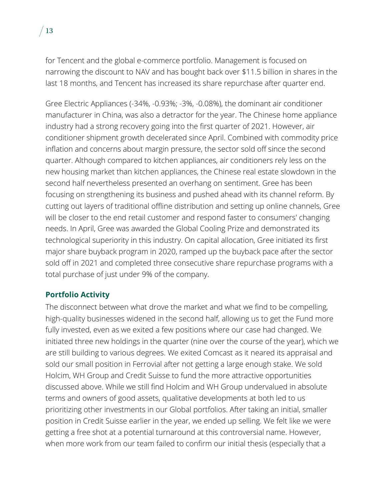for Tencent and the global e-commerce portfolio. Management is focused on narrowing the discount to NAV and has bought back over \$11.5 billion in shares in the last 18 months, and Tencent has increased its share repurchase after quarter end.

Gree Electric Appliances (-34%, -0.93%; -3%, -0.08%), the dominant air conditioner manufacturer in China, was also a detractor for the year. The Chinese home appliance industry had a strong recovery going into the first quarter of 2021. However, air conditioner shipment growth decelerated since April. Combined with commodity price inflation and concerns about margin pressure, the sector sold off since the second quarter. Although compared to kitchen appliances, air conditioners rely less on the new housing market than kitchen appliances, the Chinese real estate slowdown in the second half nevertheless presented an overhang on sentiment. Gree has been focusing on strengthening its business and pushed ahead with its channel reform. By cutting out layers of traditional offline distribution and setting up online channels, Gree will be closer to the end retail customer and respond faster to consumers' changing needs. In April, Gree was awarded the Global Cooling Prize and demonstrated its technological superiority in this industry. On capital allocation, Gree initiated its first major share buyback program in 2020, ramped up the buyback pace after the sector sold off in 2021 and completed three consecutive share repurchase programs with a total purchase of just under 9% of the company.

# **Portfolio Activity**

The disconnect between what drove the market and what we find to be compelling, high-quality businesses widened in the second half, allowing us to get the Fund more fully invested, even as we exited a few positions where our case had changed. We initiated three new holdings in the quarter (nine over the course of the year), which we are still building to various degrees. We exited Comcast as it neared its appraisal and sold our small position in Ferrovial after not getting a large enough stake. We sold Holcim, WH Group and Credit Suisse to fund the more attractive opportunities discussed above. While we still find Holcim and WH Group undervalued in absolute terms and owners of good assets, qualitative developments at both led to us prioritizing other investments in our Global portfolios. After taking an initial, smaller position in Credit Suisse earlier in the year, we ended up selling. We felt like we were getting a free shot at a potential turnaround at this controversial name. However, when more work from our team failed to confirm our initial thesis (especially that a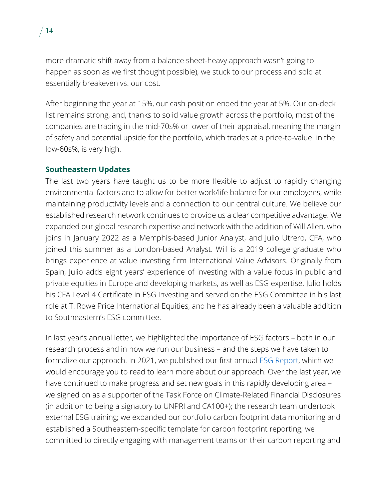more dramatic shift away from a balance sheet-heavy approach wasn't going to happen as soon as we first thought possible), we stuck to our process and sold at essentially breakeven vs. our cost.

After beginning the year at 15%, our cash position ended the year at 5%. Our on-deck list remains strong, and, thanks to solid value growth across the portfolio, most of the companies are trading in the mid-70s% or lower of their appraisal, meaning the margin of safety and potential upside for the portfolio, which trades at a price-to-value in the low-60s%, is very high.

### **Southeastern Updates**

The last two years have taught us to be more flexible to adjust to rapidly changing environmental factors and to allow for better work/life balance for our employees, while maintaining productivity levels and a connection to our central culture. We believe our established research network continues to provide us a clear competitive advantage. We expanded our global research expertise and network with the addition of Will Allen, who joins in January 2022 as a Memphis-based Junior Analyst, and Julio Utrero, CFA, who joined this summer as a London-based Analyst. Will is a 2019 college graduate who brings experience at value investing firm International Value Advisors. Originally from Spain, Julio adds eight years' experience of investing with a value focus in public and private equities in Europe and developing markets, as well as ESG expertise. Julio holds his CFA Level 4 Certificate in ESG Investing and served on the ESG Committee in his last role at T. Rowe Price International Equities, and he has already been a valuable addition to Southeastern's ESG committee.

In last year's annual letter, we highlighted the importance of ESG factors – both in our research process and in how we run our business – and the steps we have taken to formalize our approach. In 2021, we published our first annual [ESG Report,](https://southeasternasset.com/our-approach/southeastern-2020-esg-annual-report/) which we would encourage you to read to learn more about our approach. Over the last year, we have continued to make progress and set new goals in this rapidly developing area – we signed on as a supporter of the Task Force on Climate-Related Financial Disclosures (in addition to being a signatory to UNPRI and CA100+); the research team undertook external ESG training; we expanded our portfolio carbon footprint data monitoring and established a Southeastern-specific template for carbon footprint reporting; we committed to directly engaging with management teams on their carbon reporting and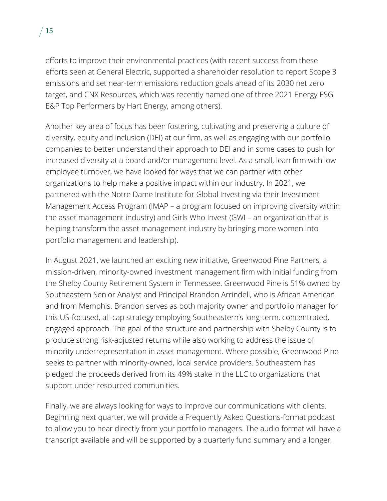efforts to improve their environmental practices (with recent success from these efforts seen at General Electric, supported a shareholder resolution to report Scope 3 emissions and set near-term emissions reduction goals ahead of its 2030 net zero target, and CNX Resources, which was recently named one of three [2021 Energy ESG](https://www.hartenergy.com/energy-esg-awards)  [E&P Top Performers by Hart Energy,](https://www.hartenergy.com/energy-esg-awards) among others).

Another key area of focus has been fostering, cultivating and preserving a culture of diversity, equity and inclusion (DEI) at our firm, as well as engaging with our portfolio companies to better understand their approach to DEI and in some cases to push for increased diversity at a board and/or management level. As a small, lean firm with low employee turnover, we have looked for ways that we can partner with other organizations to help make a positive impact within our industry. In 2021, we partnered with the Notre Dame Institute for Global Investing via their Investment Management Access Program (IMAP – a program focused on improving diversity within the asset management industry) and Girls Who Invest (GWI – an organization that is helping transform the asset management industry by bringing more women into portfolio management and leadership).

In August 2021, we launched an exciting new initiative, Greenwood Pine Partners, a mission-driven, minority-owned investment management firm with initial funding from the Shelby County Retirement System in Tennessee. Greenwood Pine is 51% owned by Southeastern Senior Analyst and Principal Brandon Arrindell, who is African American and from Memphis. Brandon serves as both majority owner and portfolio manager for this US-focused, all-cap strategy employing Southeastern's long-term, concentrated, engaged approach. The goal of the structure and partnership with Shelby County is to produce strong risk-adjusted returns while also working to address the issue of minority underrepresentation in asset management. Where possible, Greenwood Pine seeks to partner with minority-owned, local service providers. Southeastern has pledged the proceeds derived from its 49% stake in the LLC to organizations that support under resourced communities.

Finally, we are always looking for ways to improve our communications with clients. Beginning next quarter, we will provide a Frequently Asked Questions-format podcast to allow you to hear directly from your portfolio managers. The audio format will have a transcript available and will be supported by a quarterly fund summary and a longer,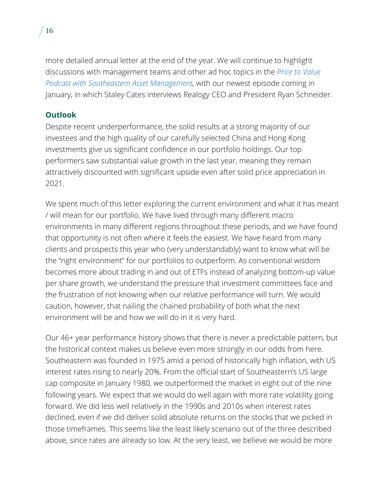more detailed annual letter at the end of the year. We will continue to highlight discussions with management teams and other ad hoc topics in the *[Price to Value](https://southeasternasset.com/podcasts)  Podcast with [Southeastern Asset Management,](https://southeasternasset.com/podcasts)* with our newest episode coming in January, in which Staley Cates interviews Realogy CEO and President Ryan Schneider.

# **Outlook**

Despite recent underperformance, the solid results at a strong majority of our investees and the high quality of our carefully selected China and Hong Kong investments give us significant confidence in our portfolio holdings. Our top performers saw substantial value growth in the last year, meaning they remain attractively discounted with significant upside even after solid price appreciation in 2021.

We spent much of this letter exploring the current environment and what it has meant / will mean for our portfolio. We have lived through many different macro environments in many different regions throughout these periods, and we have found that opportunity is not often where it feels the easiest. We have heard from many clients and prospects this year who (very understandably) want to know what will be the "right environment" for our portfolios to outperform. As conventional wisdom becomes more about trading in and out of ETFs instead of analyzing bottom-up value per share growth, we understand the pressure that investment committees face and the frustration of not knowing when our relative performance will turn. We would caution, however, that nailing the chained probability of both what the next environment will be and how we will do in it is very hard.

Our 46+ year performance history shows that there is never a predictable pattern, but the historical context makes us believe even more strongly in our odds from here. Southeastern was founded in 1975 amid a period of historically high inflation, with US interest rates rising to nearly 20%. From the official start of Southeastern's US large cap composite in January 1980, we outperformed the market in eight out of the nine following years. We expect that we would do well again with more rate volatility going forward. We did less well relatively in the 1990s and 2010s when interest rates declined, even if we did deliver solid absolute returns on the stocks that we picked in those timeframes. This seems like the least likely scenario out of the three described above, since rates are already so low. At the very least, we believe we would be more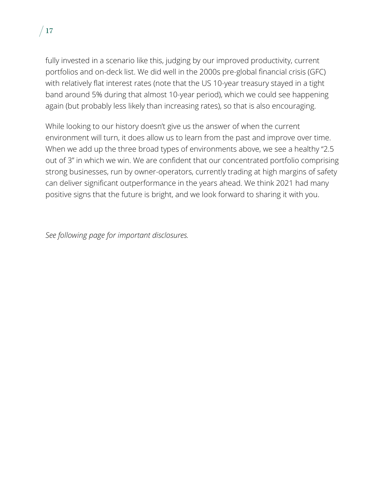

fully invested in a scenario like this, judging by our improved productivity, current portfolios and on-deck list. We did well in the 2000s pre-global financial crisis (GFC) with relatively flat interest rates (note that the US 10-year treasury stayed in a tight band around 5% during that almost 10-year period), which we could see happening again (but probably less likely than increasing rates), so that is also encouraging.

While looking to our history doesn't give us the answer of when the current environment will turn, it does allow us to learn from the past and improve over time. When we add up the three broad types of environments above, we see a healthy "2.5 out of 3" in which we win. We are confident that our concentrated portfolio comprising strong businesses, run by owner-operators, currently trading at high margins of safety can deliver significant outperformance in the years ahead. We think 2021 had many positive signs that the future is bright, and we look forward to sharing it with you.

*See following page for important disclosures.*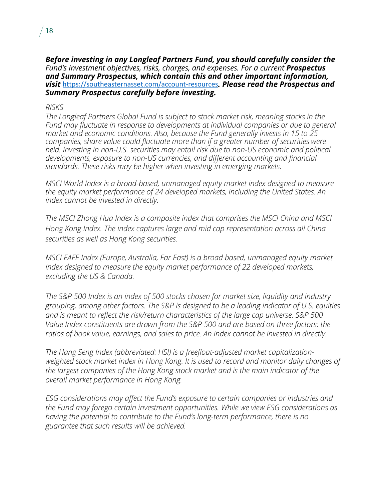*Before investing in any Longleaf Partners Fund, you should carefully consider the Fund's investment objectives, risks, charges, and expenses. For a current Prospectus and Summary Prospectus, which contain this and other important information, visit* <https://southeasternasset.com/account-resources>*. Please read the Prospectus and Summary Prospectus carefully before investing.*

### *RISKS*

*The Longleaf Partners Global Fund is subject to stock market risk, meaning stocks in the Fund may fluctuate in response to developments at individual companies or due to general market and economic conditions. Also, because the Fund generally invests in 15 to 25 companies, share value could fluctuate more than if a greater number of securities were held. Investing in non-U.S. securities may entail risk due to non-US economic and political developments, exposure to non-US currencies, and different accounting and financial standards. These risks may be higher when investing in emerging markets.*

*MSCI World Index is a broad-based, unmanaged equity market index designed to measure the equity market performance of 24 developed markets, including the United States. An index cannot be invested in directly.*

*The MSCI Zhong Hua Index is a composite index that comprises the MSCI China and MSCI Hong Kong Index. The index captures large and mid cap representation across all China securities as well as Hong Kong securities.*

*MSCI EAFE Index (Europe, Australia, Far East) is a broad based, unmanaged equity market index designed to measure the equity market performance of 22 developed markets, excluding the US & Canada.*

*The S&P 500 Index is an index of 500 stocks chosen for market size, liquidity and industry grouping, among other factors. The S&P is designed to be a leading indicator of U.S. equities and is meant to reflect the risk/return characteristics of the large cap universe. S&P 500 Value Index constituents are drawn from the S&P 500 and are based on three factors: the ratios of book value, earnings, and sales to price. An index cannot be invested in directly.*

*The Hang Seng Index (abbreviated: HSI) is a freefloat-adjusted market capitalizationweighted stock market index in Hong Kong. It is used to record and monitor daily changes of the largest companies of the Hong Kong stock market and is the main indicator of the overall market performance in Hong Kong.*

*ESG considerations may affect the Fund's exposure to certain companies or industries and the Fund may forego certain investment opportunities. While we view ESG considerations as having the potential to contribute to the Fund's long-term performance, there is no guarantee that such results will be achieved.*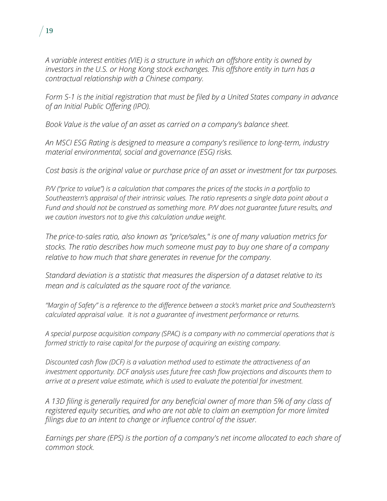

*Form S-1 is the initial registration that must be filed by a United States company in advance of an [Initial Public Offering](https://www.toppanmerrill.com/glossary/initial-public-offering-ipo/) (IPO).*

*Book Value is the value of an asset as carried on a company's balance sheet.*

*An MSCI ESG Rating is designed to measure a company's resilience to long-term, industry material environmental, social and governance (ESG) risks.*

*Cost basis is the original value or purchase price of an asset or investment for tax purposes.*

*P/V ("price to value") is a calculation that compares the prices of the stocks in a portfolio to Southeastern's appraisal of their intrinsic values. The ratio represents a single data point about a Fund and should not be construed as something more. P/V does not guarantee future results, and we caution investors not to give this calculation undue weight.*

*The price-to-sales ratio, also known as "price/sales," is one of many [valuation metrics for](https://www.fool.com/investing/how-to-invest/stocks/how-to-research-stocks/)  [stocks.](https://www.fool.com/investing/how-to-invest/stocks/how-to-research-stocks/) The ratio describes how much someone must pay to buy one share of a company relative to how much that share generates in revenue for the company.*

*Standard deviation is a statistic that measures the dispersion of a dataset relative to its mean and is calculated as the square root of the variance.*

*"Margin of Safety" is a reference to the difference between a stock's market price and Southeastern's calculated appraisal value. It is not a guarantee of investment performance or returns.* 

*A special purpose acquisition company (SPAC) is a company with no commercial operations that is formed strictly to raise capital for the purpose of acquiring an existing company.*

*Discounted cash flow (DCF) is a valuation method used to estimate the attractiveness of an investment opportunity. DCF analysis uses [future free cash flow](http://www.investopedia.com/terms/f/freecashflow.asp) projections and discounts them to arrive at a [present value](http://www.investopedia.com/terms/p/presentvalue.asp) estimate, which is used to evaluate the potential for investment.*

*A 13D filing is generally required for any beneficial owner of more than 5% of any class of registered equity securities, and who are not able to claim an exemption for more limited filings due to an intent to change or influence control of the issuer.*

*Earnings per share (EPS) is the portion of a company's net income allocated to each share of common stock.*

19